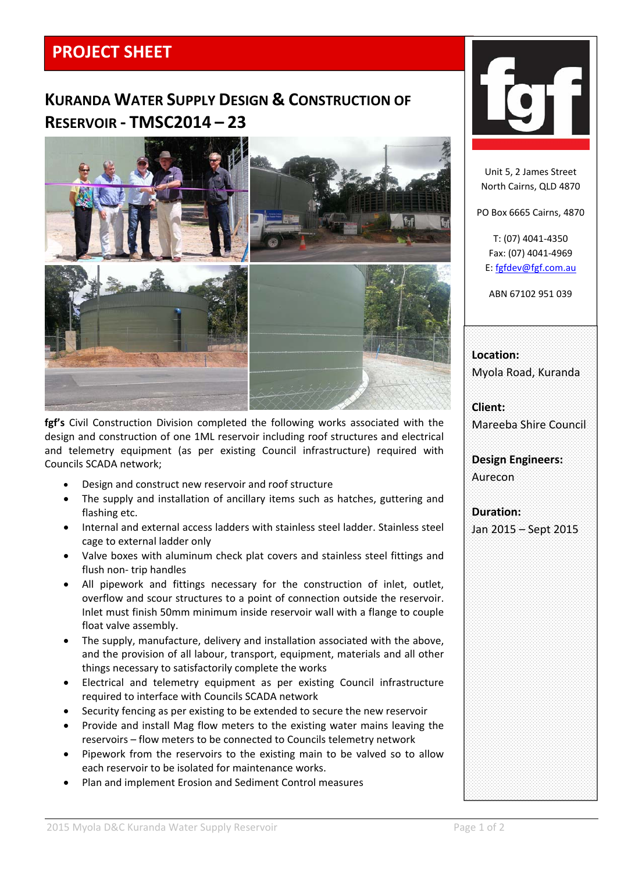## **PROJECT SHEET**

## **KURANDA WATER SUPPLY DESIGN & CONSTRUCTION OF RESERVOIR ‐ TMSC2014 – 23**



**fgf's** Civil Construction Division completed the following works associated with the design and construction of one 1ML reservoir including roof structures and electrical and telemetry equipment (as per existing Council infrastructure) required with Councils SCADA network;

- Design and construct new reservoir and roof structure
- The supply and installation of ancillary items such as hatches, guttering and flashing etc.
- Internal and external access ladders with stainless steel ladder. Stainless steel cage to external ladder only
- Valve boxes with aluminum check plat covers and stainless steel fittings and flush non‐ trip handles
- All pipework and fittings necessary for the construction of inlet, outlet, overflow and scour structures to a point of connection outside the reservoir. Inlet must finish 50mm minimum inside reservoir wall with a flange to couple float valve assembly.
- The supply, manufacture, delivery and installation associated with the above, and the provision of all labour, transport, equipment, materials and all other things necessary to satisfactorily complete the works
- Electrical and telemetry equipment as per existing Council infrastructure required to interface with Councils SCADA network
- Security fencing as per existing to be extended to secure the new reservoir
- Provide and install Mag flow meters to the existing water mains leaving the reservoirs – flow meters to be connected to Councils telemetry network
- Pipework from the reservoirs to the existing main to be valved so to allow each reservoir to be isolated for maintenance works.
- Plan and implement Erosion and Sediment Control measures



Unit 5, 2 James Street North Cairns, QLD 4870

PO Box 6665 Cairns, 4870

T: (07) 4041‐4350 Fax: (07) 4041‐4969 E: fgfdev@fgf.com.au

ABN 67102 951 039

**Location:** Myola Road, Kuranda

**Client:** Mareeba Shire Council

**Design Engineers:** Aurecon

**Duration:** Jan 2015 – Sept 2015